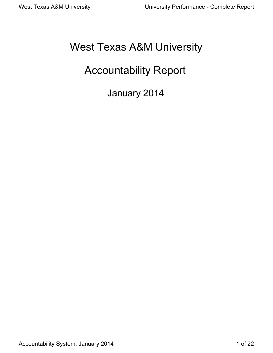# West Texas A&M University

# Accountability Report

January 2014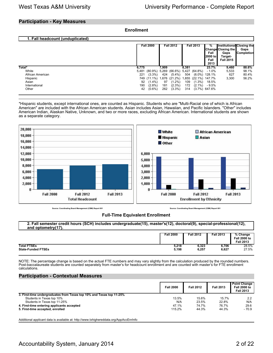#### **Participation - Key Measures**

| <b>Enrollment</b> |
|-------------------|
|-------------------|

| 1. Fall headcount (unduplicated)                                                   |                                                 |                                                                              |                                  |                                                                                                  |                                   |                                                |                                                                            |                                                                  |                                                        |
|------------------------------------------------------------------------------------|-------------------------------------------------|------------------------------------------------------------------------------|----------------------------------|--------------------------------------------------------------------------------------------------|-----------------------------------|------------------------------------------------|----------------------------------------------------------------------------|------------------------------------------------------------------|--------------------------------------------------------|
|                                                                                    |                                                 | <b>Fall 2000</b>                                                             |                                  | <b>Fall 2012</b>                                                                                 |                                   | <b>Fall 2013</b>                               | ℅<br>Fall<br>I2000 to l<br>Fall<br>2013                                    | <b>Change Closing the</b><br>Gaps<br>Target-<br><b>Fall 2015</b> | Institutional Closing the<br>Gaps<br><b>Completion</b> |
| Total*<br>White<br>African American<br>Hispanic<br>Asian<br>International<br>Other | 6,775<br>5,481<br>221<br>749<br>92<br>190<br>42 | $(80.9\%)$<br>$(3.3\%)$<br>$(11.1\%)$<br>$(1.4\%)$<br>$(2.8\%)$<br>$(0.6\%)$ | 7.909<br>424<br>97<br>181<br>262 | 5,269 (66.6%) 5,427 (64.8%)<br>$(5.4\%)$<br>1,676 (21.2%)<br>$(1.2\%)$<br>$(2.3\%)$<br>$(3.3\%)$ | 8.381<br>504<br>109<br>172<br>314 | 1,855 (22.1%) 147.7%<br>$(1.3\%)$<br>$(2.1\%)$ | 23.7%<br>$-1.0\%$<br>(6.0%) 128.1%<br>18.5%<br>$-9.5%$<br>$(3.7\%)$ 647.6% | 9,460<br>5,533<br>627<br>3,300                                   | 88.6%<br>98.1%<br>80.4%<br>56.2%                       |

\*Hispanic students, except international ones, are counted as Hispanic. Students who are "Multi-Racial one of which is African American" are included with the African American students. Asian includes Asian, Hawaiian, and Pacific Islanders. "Other" includes American Indian, Alaskan Native, Unknown, and two or more races, excluding African American. International students are shown as a separate category.



**Source: Coordinating Board Management (CBM) Report 001 Source: Coordinating Board Management (CBM) Report 001**

#### **Full-Time Equivalent Enrollment**

| 2. Fall semester credit hours (SCH) includes undergraduate(15), master's(12), doctoral(9), special-professional(12), |  |
|----------------------------------------------------------------------------------------------------------------------|--|
| and optometry(17).                                                                                                   |  |
|                                                                                                                      |  |

|                           | <b>Fall 2000</b> | <b>Fall 2012</b> | <b>Fall 2013</b> | % Change<br><b>Fall 2000 to</b><br><b>Fall 2013</b> |
|---------------------------|------------------|------------------|------------------|-----------------------------------------------------|
| <b>Total FTSEs</b>        | 5,218            | 6,323            | 6,706            | 28.5%                                               |
| <b>State-Funded FTSEs</b> | 5,198            | 6,257            | 6,627            | 27.5%                                               |

NOTE: The percentage change is based on the actual FTE numbers and may vary slightly from the calculation produced by the rounded numbers. Post-baccalaureate students are counted separately from master's for headcount enrollment and are counted with master's for FTE enrollment calculations.

#### **Participation - Contextual Measures**

|                                                                      | <b>Fall 2000</b> | <b>Fall 2012</b> | <b>Fall 2013</b> | <b>Point Change</b><br><b>Fall 2000 to</b><br><b>Fall 2013</b> |
|----------------------------------------------------------------------|------------------|------------------|------------------|----------------------------------------------------------------|
| 3. First-time undergraduates from Texas top 10% and Texas top 11-25% |                  |                  |                  |                                                                |
| Students in Texas top 10%                                            | 13.5%            | 15.6%            | 15.7%            | 2.2                                                            |
| Students in Texas top 11-25%                                         | N/A              | 23.5%            | 22.8%            | N/A                                                            |
| 4. First-time entering applicants accepted                           | 47.1%            | 74.7%            | 76.7%            | 29.6                                                           |
| 5. First-time accepted, enrolled                                     | 115.2%           | 44.3%            | 44.3%            | $-70.9$                                                        |

Additional applicant data is available at: http://www.txhighereddata.org/AppAccEnrInfo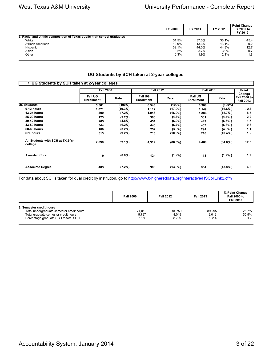|                                                                        | FY 2000 | FY 2011 | FY 2012 | <b>Point Change</b><br>FY 2000 to<br>FY 2012 |
|------------------------------------------------------------------------|---------|---------|---------|----------------------------------------------|
| 6. Racial and ethnic composition of Texas public high school graduates |         |         |         |                                              |
| White                                                                  | 51.5%   | 37.0%   | 36.1%   | $-15.4$                                      |
| African American                                                       | 12.9%   | 13.3%   | 13.1%   | 0.2                                          |
| Hispanic                                                               | 32.1%   | 44.0%   | 44.8%   | 12.7                                         |
| Asian                                                                  | 3.2%    | 3.7%    | 3.9%    | 0.7                                          |
| Other                                                                  | 0.3%    | 1.9%    | 2.1%    | 1.8                                          |

### **UG Students by SCH taken at 2-year colleges**

| 7. UG Students by SCH taken at 2-year colleges |                                     |            |                                     |            |                                     |            |                                            |  |
|------------------------------------------------|-------------------------------------|------------|-------------------------------------|------------|-------------------------------------|------------|--------------------------------------------|--|
|                                                | <b>Fall 2000</b>                    |            | <b>Fall 2012</b>                    |            | <b>Fall 2013</b>                    |            | Point                                      |  |
|                                                | <b>Fall UG</b><br><b>Enrollment</b> | Rate       | <b>Fall UG</b><br><b>Enrollment</b> | Rate       | <b>Fall UG</b><br><b>Enrollment</b> | Rate       | Change<br>Fall 2000 to<br><b>Fall 2013</b> |  |
| <b>UG Students</b>                             | 5,561                               | $(100\%)$  | 6,543                               | (100%)     | 6,908                               | $(100\%)$  |                                            |  |
| 0-12 hours                                     | 1,071                               | (19.3%)    | 1,112                               | $(17.0\%)$ | 1,149                               | $(16.6\%)$ | $-2.7$                                     |  |
| <b>13-24 hours</b>                             | 400                                 | (7.2%)     | 1,046                               | $(16.0\%)$ | 1,084                               | $(15.7\%)$ | 8.5                                        |  |
| <b>25-29 hours</b>                             | 123                                 | $(2.2\%)$  | 300                                 | $(4.6\%)$  | 301                                 | $(4.4\%)$  | 2.2                                        |  |
| <b>30-42 hours</b>                             | 265                                 | $(4.8\%)$  | 451                                 | $(6.9\%)$  | 449                                 | $(6.5\% )$ | 1.7                                        |  |
| 43-59 hours                                    | 344                                 | $(6.2\%)$  | 440                                 | $(6.7\%)$  | 467                                 | (6.8% )    | 0.6                                        |  |
| 60-66 hours                                    | 180                                 | $(3.2\%)$  | 252                                 | $(3.9\%)$  | 294                                 | $(4.3\%$ ) | 1.1                                        |  |
| 67+ hours                                      | 513                                 | $(9.2\%)$  | 716                                 | $(10.9\%)$ | 716                                 | $(10.4\%)$ | 1.2                                        |  |
| All Students with SCH at TX 2-Yr<br>college    | 2,896                               | $(52.1\%)$ | 4,317                               | $(66.0\%)$ | 4,460                               | $(64.6\%)$ | 12.5                                       |  |
| <b>Awarded Core</b>                            | 0                                   | $(0.0\%)$  | 124                                 | $(1.9\%)$  | 118                                 | $(1.7\%)$  | 1.7                                        |  |
| <b>Associate Degree</b>                        | 403                                 | (7.2%)     | 900                                 | $(13.8\%)$ | 954                                 | $(13.8\%)$ | 6.6                                        |  |

For data about SCHs taken for dual credit by institution, go to<http://www.txhighereddata.org/interactive/HSCollLink2.cfm>

|                                                                                                                                                       | <b>Fall 2000</b>         | <b>Fall 2012</b>        | <b>Fall 2013</b>        | %/Point Change<br><b>Fall 2000 to</b><br><b>Fall 2013</b> |
|-------------------------------------------------------------------------------------------------------------------------------------------------------|--------------------------|-------------------------|-------------------------|-----------------------------------------------------------|
| 8. Semester credit hours<br>Total undergraduate semester credit hours<br>Total graduate semester credit hours<br>Percentage graduate SCH to total SCH | 71.019<br>5.797<br>7.5 % | 84.750<br>8.049<br>8.7% | 89.295<br>9.012<br>9.2% | 25.7%<br>55.5%<br>1.7                                     |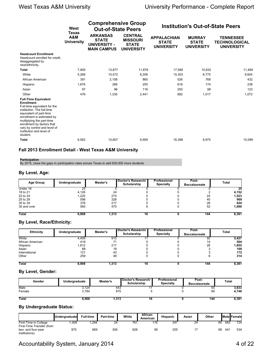|                                                                                                                                                                                                                                                                                                            | West<br><b>Texas</b>     | <b>Comprehensive Group</b><br><b>Out-of-State Peers</b>                      |                                                                        |                                                         | <b>Institution's Out-of-State Peers</b>            |                                                               |
|------------------------------------------------------------------------------------------------------------------------------------------------------------------------------------------------------------------------------------------------------------------------------------------------------------|--------------------------|------------------------------------------------------------------------------|------------------------------------------------------------------------|---------------------------------------------------------|----------------------------------------------------|---------------------------------------------------------------|
|                                                                                                                                                                                                                                                                                                            | A&M<br><b>University</b> | <b>ARKANSAS</b><br><b>STATE</b><br><b>UNIVERSITY -</b><br><b>MAIN CAMPUS</b> | <b>CENTRAL</b><br><b>MISSOURI</b><br><b>STATE</b><br><b>UNIVERSITY</b> | <b>APPALACHIAN</b><br><b>STATE</b><br><b>UNIVERSITY</b> | <b>MURRAY</b><br><b>STATE</b><br><b>UNIVERSITY</b> | <b>TENNESSEE</b><br><b>TECHNOLOGICAL</b><br><b>UNIVERSITY</b> |
| <b>Headcount Enrollment</b><br>Headcount enrolled for credit.<br>disaggregated by<br>race/ethnicity.                                                                                                                                                                                                       |                          |                                                                              |                                                                        |                                                         |                                                    |                                                               |
| Total                                                                                                                                                                                                                                                                                                      | 7,909                    | 13,877                                                                       | 11,878                                                                 | 17,589                                                  | 10,832                                             | 11,469                                                        |
| White                                                                                                                                                                                                                                                                                                      | 5.269                    | 10.072                                                                       | 8.206                                                                  | 15,303                                                  | 8.775                                              | 9,604                                                         |
| African American                                                                                                                                                                                                                                                                                           | 391                      | 2,108                                                                        | 860                                                                    | 526                                                     | 768                                                | 432                                                           |
| Hispanic                                                                                                                                                                                                                                                                                                   | 1.676                    | 266                                                                          | 255                                                                    | 618                                                     | 174                                                | 238                                                           |
| Asian                                                                                                                                                                                                                                                                                                      | 97                       | 96                                                                           | 116                                                                    | 250                                                     | 98                                                 | 123                                                           |
| Other                                                                                                                                                                                                                                                                                                      | 476                      | 1,335                                                                        | 2,441                                                                  | 892                                                     | 1,017                                              | 1,072                                                         |
| <b>Full-Time Equivalent</b><br><b>Enrollment</b><br>Full-time equivalent for the<br>institution. The full-time<br>equivalent of part-time<br>enrollment is estimated by<br>multiplying the part-time<br>enrollment by factors that<br>vary by control and level of<br>institution and level of<br>student. |                          |                                                                              |                                                                        |                                                         |                                                    |                                                               |
| <b>Total</b>                                                                                                                                                                                                                                                                                               | 6,562                    | 10,607                                                                       | 9,959                                                                  | 16,398                                                  | 8,975                                              | 10,099                                                        |

#### **Fall 2013 Enrollment Detail - West Texas A&M University**

#### **Participation**

By 2015, close the gaps in participation rates across Texas to add 630,000 more students.

#### **By Level, Age:**

| <b>Age Group</b> | Undergraduate | Master's | Doctor's Research/<br>Scholarship | Professional<br><b>Specialty</b> | Post-<br><b>Baccalaureate</b> | Total |
|------------------|---------------|----------|-----------------------------------|----------------------------------|-------------------------------|-------|
| Under 18         | 25            |          |                                   |                                  |                               | 25    |
| 18 to 21         | 4.126         | 24       |                                   |                                  |                               | 4,152 |
| 22 to 24         | 1,225         | 274      |                                   |                                  | 24                            | 1,523 |
| 25 to 29         | 596           | 328      |                                   |                                  | 40                            | 969   |
| 30 to 34         | 376           | 217      |                                   |                                  | 26                            | 624   |
| 35 and over      | 560           | 470      |                                   |                                  | 52                            | 1,088 |
| <b>Total</b>     | 6.908         | 1.313    | 16                                |                                  | 144                           | 8,381 |

### **By Level, Race/Ethnicity:**

| <b>Ethnicity</b> | Undergraduate | Master's | Doctor's Research/<br>Scholarship | Professional<br><b>Specialty</b> | Post-<br><b>Baccalaureate</b> | Total |
|------------------|---------------|----------|-----------------------------------|----------------------------------|-------------------------------|-------|
| White            | 4,409         | 915      |                                   |                                  | 92                            | 5,427 |
| African American | 419           | 71       |                                   |                                  | 14                            | 504   |
| Hispanic         | 1,612         | 217      |                                   |                                  | 26                            | 1,855 |
| Asian            | 88            | 18       |                                   |                                  |                               | 109   |
| International    | 121           | 43       |                                   |                                  |                               | 172   |
| Other            | 259           | 49       |                                   |                                  |                               | 314   |
| <b>Total</b>     | 6,908         | .313     | 16                                |                                  | 144                           | 8,381 |

#### **By Level, Gender:**

| Gender       | Undergraduate | Master's | Doctor's Research/ I<br>Scholarship | <b>Professional</b><br><b>Specialty</b> | Post-<br><b>Baccalaureate</b> | Total |
|--------------|---------------|----------|-------------------------------------|-----------------------------------------|-------------------------------|-------|
| Male         | 3.124         | 443      |                                     |                                         | 55                            | 3,633 |
| Female       | 3.784         | 870      |                                     |                                         | 89                            | 4.748 |
| <b>Total</b> | 6.908         | 1.313    | 16                                  |                                         | 144                           | 8,381 |

### **By Undergraduate Status:**

|                           | Undergraduate | <b>Full-time</b> | <b>Part-time</b> | White | African<br>American | <b>Hispanic</b> | Asian | Other |     | <b>IMale Female</b> |
|---------------------------|---------------|------------------|------------------|-------|---------------------|-----------------|-------|-------|-----|---------------------|
| First-Time in College     | ,308          | ,284             | 24               | 761   | 116                 | 347             | 24    | 60    | 583 | 725                 |
| First-Time Transfer (from |               |                  |                  |       |                     |                 |       |       |     |                     |
| two- and four-year        | 975           | 669              | 306              | 628   | 56                  | 205             |       | 69    | 441 | 534                 |
| institutions)             |               |                  |                  |       |                     |                 |       |       |     |                     |

## Accountability System, January 2014 **4 COV Accountability System**, January 2014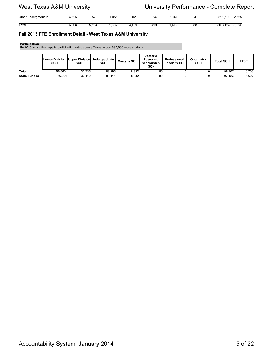| Other Undergraduate | ,625  | 3.570 | ,055 | 3,020 | 247 | ,060          | $\sqrt{ }$ | 2512,100    | 2,525 |
|---------------------|-------|-------|------|-------|-----|---------------|------------|-------------|-------|
| Total               | 5,908 | 5,523 | ,385 | ,409  | 419 | 0.40<br>,o ⊺∠ | 88         | 3803<br>124 | 3,784 |

#### **Fall 2013 FTE Enrollment Detail - West Texas A&M University**

#### **Participation**

By 2015, close the gaps in participation rates across Texas to add 630,000 more students.

|                     | SCH    | SCH    | Lower-Division   Upper Division Undergraduate  <br>SCH | Master's SCH | Doctor's<br>Research/<br>Scholarship<br>SCH | Professional<br>Specialty SCH | Optometry<br>SCH | <b>Total SCH</b> | <b>FTSE</b> |
|---------------------|--------|--------|--------------------------------------------------------|--------------|---------------------------------------------|-------------------------------|------------------|------------------|-------------|
| <b>Total</b>        | 56.560 | 32.735 | 89.295                                                 | 8.932        | 80                                          |                               |                  | 98.307           | 6.706       |
| <b>State-Funded</b> | 56.001 | 32,110 | 88,111                                                 | 8.932        | 80                                          |                               |                  | 97.123           | 6,627       |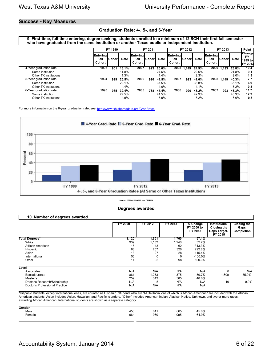#### **Success - Key Measures**

#### **Graduation Rate: 4-, 5-, and 6-Year**

**9. First-time, full-time entering, degree-seeking, students enrolled in a minimum of 12 SCH their first fall semester who have graduated from the same institution or another Texas public or independent institution.** 

|                        |                                          | FY 1999  |       |                                   | FY 2011       |       |                                          | FY 2012  |       | FY 2013                                   |            |       | <b>Point</b>                                               |
|------------------------|------------------------------------------|----------|-------|-----------------------------------|---------------|-------|------------------------------------------|----------|-------|-------------------------------------------|------------|-------|------------------------------------------------------------|
|                        | <b>Entering</b><br>Fall<br><b>Cohort</b> | lCohortl | Rate  | <b>Entering</b><br>Fall<br>Cohort | <b>Cohort</b> | Rate  | <b>Entering</b><br>Fall<br><b>Cohort</b> | lCohortl | Rate  | <b>IEntering</b><br>Fall<br><b>Cohort</b> | lCohorti   | Rate  | <b>Changel</b><br><b>FY</b><br>1999 to l<br><b>FY 2013</b> |
| 4-Year graduation rate | 1995                                     | 901      | 13.1% | 2007                              | 923           | 26.0% | 2008                                     | 1.149    | 24.9% | 2009                                      | 1.193      | 23.8% | 10.4                                                       |
| Same institution       |                                          |          | 11.8% |                                   |               | 24.6% |                                          |          | 22.5% |                                           |            | 21.8% | 9.1                                                        |
| Other TX institutions  |                                          |          | 1.3%  |                                   |               | 1.4%  |                                          |          | 2.3%  |                                           |            | 2.0%  | 1.3                                                        |
| 5-Year graduation rate | 1994                                     | 929      | 26.5% | 2006                              | 920           | 41.5% | 2007                                     | 923      | 41.0% |                                           | 2008 1,149 | 40.3% | 7.7                                                        |
| Same institution       |                                          |          | 22.1% |                                   |               | 37.5% |                                          |          | 36.8% |                                           |            | 35.1% | 6.9                                                        |
| Other TX institutions  |                                          |          | 4.4%  |                                   |               | 4.0%  |                                          |          | 4.1%  |                                           |            | 5.2%  | 0.8                                                        |
| 6-Year graduation rate | 1993                                     | 985      | 32.4% | 2005                              | 768           | 47.4% | 2006                                     | 920      | 48.2% | 2007                                      | 923        | 46.3% | 11.7                                                       |
| Same institution       |                                          |          | 27.5% |                                   |               | 41.5% |                                          |          | 42.9% |                                           |            | 40.3% | 12.2                                                       |
| Other TX institutions  |                                          |          | 4.9%  |                                   |               | 5.9%  |                                          |          | 5.2%  |                                           |            | 6.0%  | - 0.5                                                      |

For more information on the 6-year graduation rate, see:<http://www.txhighereddata.org/GradRates>



**Source: CBM001,CBM002, and CBM009**

| 10. Number of degrees awarded. |         |          |         |                                   |                                                                       |                                          |
|--------------------------------|---------|----------|---------|-----------------------------------|-----------------------------------------------------------------------|------------------------------------------|
|                                | FY 2000 | FY 2012  | FY 2013 | % Change<br>FY 2000 to<br>FY 2013 | Institutional<br><b>Closing the</b><br><b>Gaps Target-</b><br>FY 2015 | <b>Closing the</b><br>Gaps<br>Completion |
| <b>Total Degrees*</b>          | 1,120   | 1,601    | 1,760   | 57.1%                             |                                                                       |                                          |
| White                          | 939     | 1,182    | 1,246   | 32.7%                             |                                                                       |                                          |
| African American               | 15      | 43       | 62      | 313.3%                            |                                                                       |                                          |
| Hispanic                       | 83      | 257      | 326     | 292.8%                            |                                                                       |                                          |
| Asian                          | 13      | 27       | 28      | 115.4%                            |                                                                       |                                          |
| International                  | 56      | $\Omega$ | 0       | $-100.0\%$                        |                                                                       |                                          |
| Other                          | 14      | 92       | 98      | 600.0%                            |                                                                       |                                          |
| Level                          |         |          |         |                                   |                                                                       |                                          |
| Associates                     | N/A     | N/A      | N/A     | N/A                               | $\Omega$                                                              | N/A                                      |
| Baccalaureate                  | 861     | 1,253    | 1,375   | 59.7%                             | 1,600                                                                 | 85.9%                                    |
| Master's                       | 259     | 343      | 385     | 48.6%                             |                                                                       |                                          |
| Doctor's Research/Scholarship  | N/A     | 5        | N/A     | N/A                               | 10                                                                    | $0.0\%$                                  |
| Doctor's Professional Practice | N/A     | N/A      | N/A     | N/A                               |                                                                       |                                          |

#### **Degrees awarded**

\*Hispanic students, except international ones, are counted as Hispanic. Students who are "Multi-Racial one of which is African American" are included with the African American students. Asian includes Asian, Hawaiian, and Pacific Islanders. "Other" includes American Indian, Alaskan Native, Unknown, and two or more races, excluding African American. International students are shown as a separate category.

| Gender      |     |     |      |       |
|-------------|-----|-----|------|-------|
| .<br>Male   | 456 | 641 | 665  | 45.8% |
| -<br>Female | 664 | 960 | ,095 | 64.9% |
|             |     |     |      |       |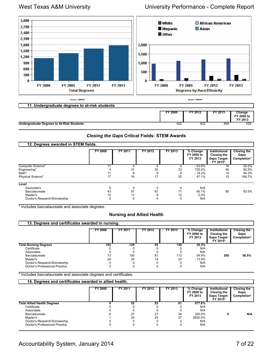

#### *Closing the Gaps* **Critical Fields: STEM Awards**

| 12. Degrees awarded in STEM fields. |                |         |         |         |                                   |                                                                 |                                           |
|-------------------------------------|----------------|---------|---------|---------|-----------------------------------|-----------------------------------------------------------------|-------------------------------------------|
|                                     | <b>FY 2000</b> | FY 2011 | FY 2012 | FY 2013 | % Change<br>FY 2000 to<br>FY 2013 | Institutional<br>Closing the<br><b>Gaps Target-</b><br>FY 2015* | <b>Closing the</b><br>Gaps<br>Completion* |
| Computer Science*                   |                |         |         |         | $-63.6%$                          | 16                                                              | 25.0%                                     |
| Engineering*                        |                | 31      | 35      | 33      | 725.0%                            | 40                                                              | 82.5%                                     |
| Math*                               |                | 6       | 9       | 9       | $-18.2%$                          | 14                                                              | 64.3%                                     |
| Physical Science*                   | 17             | 16      | 17      | 25      | 47.1%                             | 15                                                              | 166.7%                                    |
| Level                               |                |         |         |         |                                   |                                                                 |                                           |
| Associate's                         |                | 0       | 0       | 0       | N/A                               |                                                                 |                                           |
| <b>Baccalaureate</b>                | 43             | 57      | 67      | 71      | 65.1%                             | 85                                                              | 83.5%                                     |
| Master's                            | 12             | 11      | 9       | 12      | 0.0%                              |                                                                 |                                           |
| Doctor's Research/Scholarship       |                | 0       | 0       | 0       | N/A                               |                                                                 |                                           |

\* Includes baccalaureate and associate degrees.

#### **Nursing and Allied Health**

| 13. Degrees and certificates awarded in nursing. |         |         |         |         |                                   |                                                                 |                                           |  |  |  |  |
|--------------------------------------------------|---------|---------|---------|---------|-----------------------------------|-----------------------------------------------------------------|-------------------------------------------|--|--|--|--|
|                                                  | FY 2000 | FY 2011 | FY 2012 | FY 2013 | % Change<br>FY 2000 to<br>FY 2013 | Institutional<br>Closing the<br><b>Gaps Target-</b><br>FY 2015* | <b>Closing the</b><br>Gaps<br>Completion* |  |  |  |  |
| <b>Total Nursing Degrees</b>                     | 102     | 120     | 95      | 138     | 35.3%                             |                                                                 |                                           |  |  |  |  |
| Certificate                                      |         |         |         |         | N/A                               |                                                                 |                                           |  |  |  |  |
| Associates                                       |         |         |         |         | N/A                               |                                                                 |                                           |  |  |  |  |
| Baccalaureate                                    | 73      | 100     | 81      | 113     | 54.8%                             | 200                                                             | 56.5%                                     |  |  |  |  |
| Master's                                         | 29      | 20      | 14      | 25      | $-13.8%$                          |                                                                 |                                           |  |  |  |  |
| Doctor's Research/Scholarship                    |         |         |         |         | N/A                               |                                                                 |                                           |  |  |  |  |
| Doctor's Professional Practice                   |         |         |         |         | N/A                               |                                                                 |                                           |  |  |  |  |

\* Includes baccalaureate and associate degrees and certificates.

|                                    | 14. Degrees and certificates awarded in allied health. |         |         |         |                                   |                                                                 |                                    |  |  |  |  |  |
|------------------------------------|--------------------------------------------------------|---------|---------|---------|-----------------------------------|-----------------------------------------------------------------|------------------------------------|--|--|--|--|--|
|                                    | FY 2000                                                | FY 2011 | FY 2012 | FY 2013 | % Change<br>FY 2000 to<br>FY 2013 | Institutional<br>Closing the<br><b>Gaps Target-</b><br>FY 2015* | Closing the<br>Gaps<br>Completion* |  |  |  |  |  |
| <b>Total Allied Health Degrees</b> |                                                        | 52      | 52      |         | 577.8%                            |                                                                 |                                    |  |  |  |  |  |
| Certificate                        |                                                        |         |         |         | N/A                               |                                                                 |                                    |  |  |  |  |  |
| Associates                         |                                                        |         |         |         | N/A                               |                                                                 |                                    |  |  |  |  |  |
| Baccalaureate                      |                                                        | 27      | 27      | 34      | 325.0%                            |                                                                 | N/A                                |  |  |  |  |  |
| Master's                           |                                                        | 25      | 25      | 27      | 2600.0%                           |                                                                 |                                    |  |  |  |  |  |
| Doctor's Research/Scholarship      |                                                        |         |         |         | N/A                               |                                                                 |                                    |  |  |  |  |  |
| Doctor's Professional Practice     |                                                        |         |         |         | N/A                               |                                                                 |                                    |  |  |  |  |  |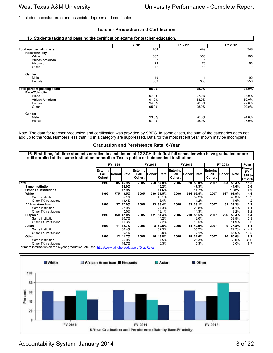\* Includes baccalaureate and associate degrees and certificates.

#### **Teacher Production and Certification**

| 15. Students taking and passing the certification exams for teacher education. |          |         |         |  |  |  |  |  |  |  |
|--------------------------------------------------------------------------------|----------|---------|---------|--|--|--|--|--|--|--|
|                                                                                | FY 2010  | FY 2011 | FY 2012 |  |  |  |  |  |  |  |
| Total number taking exam                                                       | 458      | 449     | 348     |  |  |  |  |  |  |  |
| Race/Ethnicity                                                                 |          |         |         |  |  |  |  |  |  |  |
| White                                                                          | 367      | 358     | 285     |  |  |  |  |  |  |  |
| African American                                                               | $\Delta$ |         |         |  |  |  |  |  |  |  |
| Hispanic                                                                       | 73       | 76      | 53      |  |  |  |  |  |  |  |
| Other                                                                          | 12       | 11      |         |  |  |  |  |  |  |  |
| Gender                                                                         |          |         |         |  |  |  |  |  |  |  |
| Male                                                                           | 119      | 111     | 92      |  |  |  |  |  |  |  |
| Female                                                                         | 339      | 338     | 256     |  |  |  |  |  |  |  |
| <b>Total percent passing exam</b>                                              | 96.0%    | 95.0%   | 94.0%   |  |  |  |  |  |  |  |
| Race/Ethnicity                                                                 |          |         |         |  |  |  |  |  |  |  |
| White                                                                          | 97.0%    | 97.0%   | 95.0%   |  |  |  |  |  |  |  |
| African American                                                               | 91.0%    | 88.0%   | 80.0%   |  |  |  |  |  |  |  |
| Hispanic                                                                       | 94.0%    | 90.0%   | 92.0%   |  |  |  |  |  |  |  |
| Other                                                                          | 95.0%    | 95.0%   | 100.0%  |  |  |  |  |  |  |  |
| Gender                                                                         |          |         |         |  |  |  |  |  |  |  |
| Male                                                                           | 93.0%    | 96.0%   | 94.0%   |  |  |  |  |  |  |  |
| Female                                                                         | 97.0%    | 95.0%   | 95.0%   |  |  |  |  |  |  |  |

Note: The data for teacher production and certification was provided by SBEC. In some cases, the sum of the categories does not add up to the total. Numbers less than 10 in a category are suppressed. Data for the most recent year shown may be incomplete.

#### **Graduation and Persistence Rate: 6-Year**

**16. First-time, full-time students enrolled in a minimum of 12 SCH their first fall semester who have graduated or are still enrolled at the same institution or another Texas public or independent institution.** 

|                                                                                                  |                                   | FY 1999 |          |                            | FY 2011       |           | FY 2012                    |               |          | FY 2013                    |        |       | Point                                     |
|--------------------------------------------------------------------------------------------------|-----------------------------------|---------|----------|----------------------------|---------------|-----------|----------------------------|---------------|----------|----------------------------|--------|-------|-------------------------------------------|
|                                                                                                  | <b>Entering</b><br>Fall<br>Cohort | Cohort  | Rate     | Entering<br>Fall<br>Cohort | <b>Cohort</b> | Rate      | Entering<br>Fall<br>Cohort | <b>Cohort</b> | Rate     | Entering<br>Fall<br>Cohort | Cohort | Rate  | Change<br><b>FY</b><br>1999 to<br>FY 2013 |
| Total                                                                                            | 1993                              | 985     | 46.9%    | 2005                       |               | 768 57.8% | 2006                       | 920           | 59.0%    | 2007                       | 923    | 58.4% | 11.5                                      |
| <b>Same institution</b>                                                                          |                                   |         | 34.0%    |                            |               | 46.2%     |                            |               | 47.3%    |                            |        | 44.6% | 10.6                                      |
| <b>Other TX institutions</b>                                                                     |                                   |         | 12.9%    |                            |               | 11.6%     |                            |               | 11.7%    |                            |        | 13.8% | 0.9                                       |
| White                                                                                            | 1993                              | 775     | 48.5%    | 2005                       | 530           | 61.5%     | 2006                       | 624           | 63.5%    | 2007                       | 617    | 62.9% | 14.4                                      |
| Same institution                                                                                 |                                   |         | 35.1%    |                            |               | 48.1%     |                            |               | 52.2%    |                            |        | 48.3% | 13.2                                      |
| Other TX institutions                                                                            |                                   |         | 13.4%    |                            |               | 13.4%     |                            |               | 11.2%    |                            |        | 14.6% | 1.2                                       |
| <b>African American</b>                                                                          | 1993                              |         | 37 27.0% | 2005                       |               | 33 39.4%  | 2006                       | 63            | 38.1%    | 2007                       | 61     | 39.3% | 12.3                                      |
| Same institution                                                                                 |                                   |         | 27.0%    |                            |               | 27.3%     |                            |               | 23.8%    |                            |        | 31.1% | 4.1                                       |
| Other TX institutions                                                                            |                                   |         | $0.0\%$  |                            |               | 12.1%     |                            |               | 14.3%    |                            |        | 8.2%  | 8.2                                       |
| Hispanic                                                                                         | 1993                              | 150     | 42.0%    | 2005                       | 181           | 51.4%     | 2006                       | 200           | 55.5%    | 2007                       | 226    | 50.4% | 8.4                                       |
| Same institution                                                                                 |                                   |         | 30.7%    |                            |               | 44.2%     |                            |               | 42.0%    |                            |        | 38.5% | 7.8                                       |
| Other TX institutions                                                                            |                                   |         | 11.3%    |                            |               | 7.2%      |                            |               | 13.5%    |                            |        | 11.9% | 0.6                                       |
| Asian                                                                                            | 1993                              | 11      | 72.7%    | 2005                       |               | 8 62.5%   | 2006                       | 14            | 42.9%    | 2007                       | 9      | 77.8% | 5.1                                       |
| Same institution                                                                                 |                                   |         | 36.4%    |                            |               | 62.5%     |                            |               | 35.7%    |                            |        | 22.2% | $-14.2$                                   |
| Other TX institutions                                                                            |                                   |         | 36.4%    |                            |               | $0.0\%$   |                            |               | 7.1%     |                            |        | 55.6% | 19.2                                      |
| Other                                                                                            | 1993                              |         | 12 41.7% | 2005                       |               | 16 43.8%  | 2006                       |               | 19 31.6% | 2007                       | 10     | 60.0% | 18.3                                      |
| Same institution                                                                                 |                                   |         | 25.0%    |                            |               | 37.5%     |                            |               | 26.3%    |                            |        | 60.0% | 35.0                                      |
| Other TX institutions                                                                            |                                   |         | 16.7%    |                            |               | 6.3%      |                            |               | 5.3%     |                            |        | 0.0%  | $-16.7$                                   |
| For more information on the 6-year graduation rate, see: http://www.txhighereddata.org/GradRates |                                   |         |          |                            |               |           |                            |               |          |                            |        |       |                                           |





Accountability System, January 2014 **8 of 22** and 22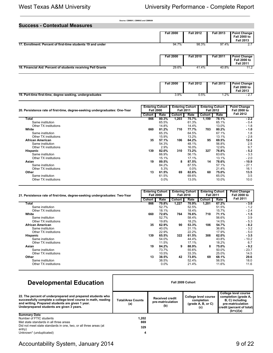**Success - Contextual Measures**

**Source: CBM001, CBM002 and CBM009**

| Success - Contextual Measures                                |                  |                  |                  |                                                                |
|--------------------------------------------------------------|------------------|------------------|------------------|----------------------------------------------------------------|
|                                                              | <b>Fall 2000</b> | <b>Fall 2012</b> | <b>Fall 2013</b> | <b>Point Change</b><br><b>Fall 2000 to</b><br><b>Fall 2013</b> |
| 17. Enrollment: Percent of first-time students 19 and under  | 94.7%            | 98.3%            | 97.4%            | 2.7                                                            |
|                                                              | <b>Fall 2000</b> | <b>Fall 2010</b> | <b>Fall 2011</b> | <b>Point Change</b><br><b>Fall 2000 to</b><br><b>Fall 2011</b> |
| 18. Financial Aid: Percent of students receiving Pell Grants | 29.6%            | 41.4%            | 40.8%            | 11.2                                                           |

|                                                          | Fall 2000 | <b>Fall 2012</b> | <b>Fall 2013</b> | <b>Point Change</b><br><b>Fall 2000 to</b><br>Fall 2013 |
|----------------------------------------------------------|-----------|------------------|------------------|---------------------------------------------------------|
| 19. Part-time first-time, degree seeking, undergraduates | $3.9\%$   | $0.5\%$          | 2%. ا            | <u>.</u>                                                |

| 20. Persistence rate of first-time, degree-seeking undergraduates: One-Year |        | <b>Entering Cohort</b><br><b>Fall 2000</b> |        | <b>Entering Cohort</b><br><b>Fall 2011</b> |        | <b>Entering Cohort</b><br><b>Fall 2012</b> | <b>Point Change</b><br><b>Fall 2000 to</b> |  |
|-----------------------------------------------------------------------------|--------|--------------------------------------------|--------|--------------------------------------------|--------|--------------------------------------------|--------------------------------------------|--|
|                                                                             | Cohort | Rate                                       | Cohort | Rate                                       | Cohort | Rate                                       | <b>Fall 2012</b>                           |  |
| Total                                                                       | 866    | 80.3%                                      | 1,203  | 75.7%                                      | 1,199  | 78.1%                                      | $-2.2$                                     |  |
| Same institution                                                            |        | 65.5%                                      |        | 61.3%                                      |        | 65.1%                                      | $-0.4$                                     |  |
| Other TX institutions                                                       |        | 14.8%                                      |        | 14.4%                                      |        | 13.0%                                      | $-1.8$                                     |  |
| White                                                                       | 660    | 81.2%                                      | 710    | 77.7%                                      | 703    | 80.2%                                      | $-1.0$                                     |  |
| Same institution                                                            |        | 65.3%                                      |        | 64.5%                                      |        | 67.1%                                      | 1.8                                        |  |
| Other TX institutions                                                       |        | 15.9%                                      |        | 13.2%                                      |        | 13.1%                                      | $-2.8$                                     |  |
| African American                                                            | 35     | 57.1%                                      | 106    | 64.2%                                      | 95     | 69.5%                                      | 12.4                                       |  |
| Same institution                                                            |        | 54.3%                                      |        | 48.1%                                      |        | 56.8%                                      | 2.5                                        |  |
| Other TX institutions                                                       |        | 2.9%                                       |        | 16.0%                                      |        | 12.6%                                      | 9.7                                        |  |
| Hispanic                                                                    | 139    | 82.0%                                      | 310    | 73.2%                                      | 327    | 76.8%                                      | $-5.2$                                     |  |
| Same institution                                                            |        | 66.9%                                      |        | 56.1%                                      |        | 63.6%                                      | $-3.3$                                     |  |
| Other TX institutions                                                       |        | 15.1%                                      |        | 17.1%                                      |        | 13.1%                                      | $-2.0$                                     |  |
| Asian                                                                       | 19     | 89.5%                                      | 8      | 87.5%                                      | 14     | 78.6%                                      | - 10.9                                     |  |
| Same institution                                                            |        | 84.2%                                      |        | 87.5%                                      |        | 57.1%                                      | $-27.1$                                    |  |
| Other TX institutions                                                       |        | 5.3%                                       |        | $0.0\%$                                    |        | 21.4%                                      | 16.1                                       |  |
| Other                                                                       | 13     | 61.5%                                      | 69     | 82.6%                                      | 60     | 75.0%                                      | 13.5                                       |  |
| Same institution                                                            |        | 61.5%                                      |        | 69.6%                                      |        | 65.0%                                      | 3.5                                        |  |
| Other TX institutions                                                       |        | 0.0%                                       |        | 13.0%                                      |        | 10.0%                                      | 10.0                                       |  |

| 21. Persistence rate of first-time, degree-seeking undergraduates: Two-Year |        | <b>Entering Cohort</b><br><b>Fall 2000</b> |        | <b>Entering Cohort</b><br><b>Fall 2010</b> |        | <b>Entering Cohort</b><br><b>Fall 2011</b> | <b>Point Change</b><br><b>Fall 2000 to</b> |
|-----------------------------------------------------------------------------|--------|--------------------------------------------|--------|--------------------------------------------|--------|--------------------------------------------|--------------------------------------------|
|                                                                             | Cohort | Rate                                       | Cohort | Rate                                       | Cohort | Rate                                       | <b>Fall 2011</b>                           |
| Total                                                                       | 866    | 70.8%                                      | 1,227  | 70.9%                                      | 1,201  | 67.2%                                      | $-3.6$                                     |
| Same institution                                                            |        | 52.7%                                      |        | 52.5%                                      |        | 51.5%                                      | $-1.2$                                     |
| Other TX institutions                                                       |        | 18.1%                                      |        | 18.4%                                      |        | 15.7%                                      | $-2.4$                                     |
| White                                                                       | 660    | 72.6%                                      | 764    | 76.6%                                      | 710    | 71.1%                                      | $-1.5$                                     |
| Same institution                                                            |        | 52.7%                                      |        | 58.4%                                      |        | 56.6%                                      | 3.9                                        |
| Other TX institutions                                                       |        | 19.8%                                      |        | 18.2%                                      |        | 14.5%                                      | $-5.3$                                     |
| African American                                                            | 35     | 62.9%                                      | 90     | 53.3%                                      | 106    | 54.7%                                      | $-8.2$                                     |
| Same institution                                                            |        | 40.0%                                      |        | 31.1%                                      |        | 36.8%                                      | $-3.2$                                     |
| Other TX institutions                                                       |        | 22.9%                                      |        | 22.2%                                      |        | 17.9%                                      | $-5.0$                                     |
| <b>Hispanic</b>                                                             | 139    | 65.5%                                      | 322    | 61.5%                                      | 308    | 62.0%                                      | $-3.5$                                     |
| Same institution                                                            |        | 54.0%                                      |        | 44.4%                                      |        | 43.8%                                      | $-10.2$                                    |
| Other TX institutions                                                       |        | 11.5%                                      |        | 17.1%                                      |        | 18.2%                                      | 6.7                                        |
| Asian                                                                       | 19     | 84.2%                                      | 9      | 88.9%                                      | 8      | 75.0%                                      | $-9.2$                                     |
| Same institution                                                            |        | 73.7%                                      |        | 55.6%                                      |        | 50.0%                                      | $-23.7$                                    |
| Other TX institutions                                                       |        | 10.5%                                      |        | 33.3%                                      |        | 25.0%                                      | 14.5                                       |
| Other                                                                       | 13     | 38.5%                                      | 42     | 73.8%                                      | 69     | 68.1%                                      | 29.6                                       |
| Same institution                                                            |        | 38.5%                                      |        | 52.4%                                      |        | 56.5%                                      | 18.0                                       |
| Other TX institutions                                                       |        | $0.0\%$                                    |        | 21.4%                                      |        | 11.6%                                      | 11.6                                       |

| <b>Total/Area Counts</b><br>(a) | <b>Received credit</b><br>pre-matriculation<br>(b) | College level course<br>completion<br>$(grade A, B, or C)$<br>(c) | <b>College level course</b><br>completion (grade A,<br>B, C) including<br>pre-matriculation<br>credit (percent of total)<br>$(b+c)/(a)$ |
|---------------------------------|----------------------------------------------------|-------------------------------------------------------------------|-----------------------------------------------------------------------------------------------------------------------------------------|
| 1,202<br>869<br>329             |                                                    |                                                                   |                                                                                                                                         |
|                                 | 4                                                  |                                                                   | Fall 2009 Cohort                                                                                                                        |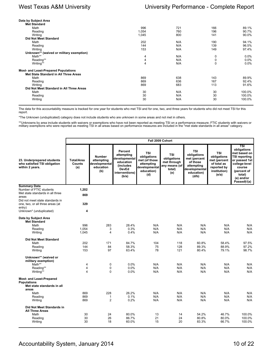| Data by Subject Area                        |       |     |     |         |
|---------------------------------------------|-------|-----|-----|---------|
| <b>Met Standard</b>                         |       |     |     |         |
| Math                                        | 996   | 721 | 166 | 89.1%   |
| Reading                                     | 1,054 | 760 | 196 | 90.7%   |
| Writing                                     | 1,045 | 800 | 141 | 90.0%   |
| <b>Did Not Meet Standard</b>                |       |     |     |         |
| Math                                        | 202   | N/A | 190 | 94.1%   |
| Reading                                     | 144   | N/A | 139 | 96.5%   |
| Writing                                     | 153   | N/A | 149 | 97.4%   |
| Unknown** (waived or military exemption)    |       |     |     |         |
| Math**                                      | 4     | N/A | 0   | $0.0\%$ |
| Reading**                                   | 4     | N/A | 0   | 0.0%    |
| Writing**                                   | 4     | N/A | 0   | $0.0\%$ |
| <b>Most- and Least-Prepared Populations</b> |       |     |     |         |
| Met State Standard in All Three Areas       |       |     |     |         |
| Math                                        | 869   | 638 | 143 | 89.9%   |
| Reading                                     | 869   | 636 | 167 | 92.4%   |
| Writing                                     | 869   | 683 | 113 | 91.6%   |
| Did Not Meet Standard in All Three Areas    |       |     |     |         |
| Math                                        | 30    | N/A | 30  | 100.0%  |
| Reading                                     | 30    | N/A | 30  | 100.0%  |
| Writing                                     | 30    | N/A | 30  | 100.0%  |
|                                             |       |     |     |         |

The data for this accountability measure is tracked for one year for students who met TSI and for one, two, and three years for students who did not meet TSI for this report.

\*The Unknown (unduplicated) category does not include students who are unknown in some areas and not met in others.

\*\*Unknowns by area include students with waivers or exemptions who have not been reported as meeting TSI on a performance measure; FTIC students with waivers or<br>military exemptions who were reported as meeting TSI in all a

|                                                                                              |                                    |                                                                  |                                                                                                                            |                                                                                                | Fall 2009 Cohort                                                           |                                                                                                             |                                                                                                  |                                                                                                                                                                                  |
|----------------------------------------------------------------------------------------------|------------------------------------|------------------------------------------------------------------|----------------------------------------------------------------------------------------------------------------------------|------------------------------------------------------------------------------------------------|----------------------------------------------------------------------------|-------------------------------------------------------------------------------------------------------------|--------------------------------------------------------------------------------------------------|----------------------------------------------------------------------------------------------------------------------------------------------------------------------------------|
| 23. Underprepared students<br>who satisfied TSI obligation<br>within 2 years.                | <b>Total/Area</b><br>Counts<br>(a) | <b>Number</b><br>attempting<br>developmental<br>education<br>(b) | Percent<br>attempting<br>developmental<br>education<br><i><b>(includes)</b></i><br><b>DevEd</b><br>interventions)<br>(b/a) | <b>TSI</b><br>obligations<br>met (of those<br>attempting<br>developmental<br>education)<br>(d) | <b>TSI</b><br>obligations<br>met through<br>any means (of<br>total)<br>(e) | <b>TSI</b><br>obligations<br>met (percent<br>of those<br>attempting<br>developmental<br>education)<br>(d/b) | <b>TSI</b><br>obligations<br>met (percent<br>of total as<br>reported by<br>institution)<br>(e/a) | $\overline{\text{TSI}}$<br>obligations<br>met based on<br><b>TSI reporting</b><br>or passed 1st<br>college-level<br>course<br>(percent of<br>total)<br>(e) and/or<br>Passed†/(a) |
| <b>Summary Data</b>                                                                          |                                    |                                                                  |                                                                                                                            |                                                                                                |                                                                            |                                                                                                             |                                                                                                  |                                                                                                                                                                                  |
| Number of FTIC students                                                                      | 1,202                              |                                                                  |                                                                                                                            |                                                                                                |                                                                            |                                                                                                             |                                                                                                  |                                                                                                                                                                                  |
| Met state standards in all three                                                             | 869                                |                                                                  |                                                                                                                            |                                                                                                |                                                                            |                                                                                                             |                                                                                                  |                                                                                                                                                                                  |
| areas<br>Did not meet state standards in                                                     |                                    |                                                                  |                                                                                                                            |                                                                                                |                                                                            |                                                                                                             |                                                                                                  |                                                                                                                                                                                  |
| one, two, or all three areas (at                                                             | 329                                |                                                                  |                                                                                                                            |                                                                                                |                                                                            |                                                                                                             |                                                                                                  |                                                                                                                                                                                  |
| entry)                                                                                       |                                    |                                                                  |                                                                                                                            |                                                                                                |                                                                            |                                                                                                             |                                                                                                  |                                                                                                                                                                                  |
| Unknown* (unduplicated)                                                                      | 4                                  |                                                                  |                                                                                                                            |                                                                                                |                                                                            |                                                                                                             |                                                                                                  |                                                                                                                                                                                  |
| Data by Subject Area<br><b>Met Standard</b>                                                  |                                    |                                                                  |                                                                                                                            |                                                                                                |                                                                            |                                                                                                             |                                                                                                  |                                                                                                                                                                                  |
| Math                                                                                         | 996                                | 283                                                              | 28.4%                                                                                                                      | N/A                                                                                            | N/A                                                                        | N/A                                                                                                         | N/A                                                                                              | N/A                                                                                                                                                                              |
| Reading                                                                                      | 1,054                              | 3                                                                | 0.3%                                                                                                                       | N/A                                                                                            | N/A                                                                        | N/A                                                                                                         | N/A                                                                                              | N/A                                                                                                                                                                              |
| Writing                                                                                      | 1,045                              | 4                                                                | 0.4%                                                                                                                       | N/A                                                                                            | N/A                                                                        | N/A                                                                                                         | N/A                                                                                              | N/A                                                                                                                                                                              |
| <b>Did Not Meet Standard</b>                                                                 |                                    |                                                                  |                                                                                                                            |                                                                                                |                                                                            |                                                                                                             |                                                                                                  |                                                                                                                                                                                  |
| Math                                                                                         | 202                                | 171                                                              | 84.7%                                                                                                                      | 104                                                                                            | 118                                                                        | 60.8%                                                                                                       | 58.4%                                                                                            | 97.5%                                                                                                                                                                            |
| Reading                                                                                      | 144                                | 84                                                               | 58.3%                                                                                                                      | 75                                                                                             | 128                                                                        | 89.3%                                                                                                       | 88.9%                                                                                            | 97.2%                                                                                                                                                                            |
| Writing                                                                                      | 153                                | 97                                                               | 63.4%                                                                                                                      | 78                                                                                             | 121                                                                        | 80.4%                                                                                                       | 79.1%                                                                                            | 98.7%                                                                                                                                                                            |
| Unknown** (waived or<br>military exemption)                                                  |                                    |                                                                  |                                                                                                                            |                                                                                                |                                                                            |                                                                                                             |                                                                                                  |                                                                                                                                                                                  |
| Math**                                                                                       | 4                                  | 0                                                                | 0.0%                                                                                                                       | N/A                                                                                            | N/A                                                                        | N/A                                                                                                         | N/A                                                                                              | N/A                                                                                                                                                                              |
| Reading**<br>Writing**                                                                       | 4<br>4                             | 0<br>0                                                           | 0.0%<br>0.0%                                                                                                               | N/A<br>N/A                                                                                     | N/A<br>N/A                                                                 | N/A<br>N/A                                                                                                  | N/A<br>N/A                                                                                       | N/A<br>N/A                                                                                                                                                                       |
| <b>Most- and Least-Prepared</b><br><b>Populations</b><br>Met state standards in all<br>areas |                                    |                                                                  |                                                                                                                            |                                                                                                |                                                                            |                                                                                                             |                                                                                                  |                                                                                                                                                                                  |
| Math                                                                                         | 869                                | 228                                                              | 26.2%                                                                                                                      | N/A                                                                                            | N/A                                                                        | N/A                                                                                                         | N/A                                                                                              | N/A                                                                                                                                                                              |
| Reading                                                                                      | 869                                | $\mathbf{1}$                                                     | 0.1%                                                                                                                       | N/A                                                                                            | N/A                                                                        | N/A                                                                                                         | N/A                                                                                              | N/A                                                                                                                                                                              |
| Writing                                                                                      | 869                                | $\overline{2}$                                                   | 0.2%                                                                                                                       | N/A                                                                                            | N/A                                                                        | N/A                                                                                                         | N/A                                                                                              | N/A                                                                                                                                                                              |
| Did Not Meet Standards in<br><b>All Three Areas</b>                                          |                                    |                                                                  |                                                                                                                            |                                                                                                |                                                                            |                                                                                                             |                                                                                                  |                                                                                                                                                                                  |
| Math                                                                                         | 30                                 | 24                                                               | 80.0%                                                                                                                      | 13                                                                                             | 14                                                                         | 54.2%                                                                                                       | 46.7%                                                                                            | 100.0%                                                                                                                                                                           |
| Reading                                                                                      | 30                                 | 26                                                               | 86.7%                                                                                                                      | 21                                                                                             | 24                                                                         | 80.8%                                                                                                       | 80.0%                                                                                            | 100.0%                                                                                                                                                                           |
| Writing                                                                                      | 30                                 | 18                                                               | 60.0%                                                                                                                      | 15                                                                                             | 20                                                                         | 83.3%                                                                                                       | 66.7%                                                                                            | 100.0%                                                                                                                                                                           |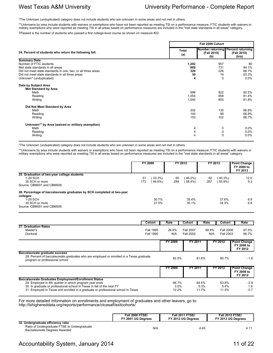\*The Unknown (unduplicated) category does not include students who are unknown in some areas and not met in others.

\*\*Unknowns by area include students with waivers or exemptions who have not been reported as meeting TSI on a performance measure; FTIC students with waivers or military exemptions who were reported as meeting TSI in all areas based on performance measures are included in the "met state standards in all areas" category.

†Passed is the number of students who passed a first college-level course as shown on measure #22.

|                                                                                                                                                                                                                                  |                                | Fall 2009 Cohort                                         |                                          |
|----------------------------------------------------------------------------------------------------------------------------------------------------------------------------------------------------------------------------------|--------------------------------|----------------------------------------------------------|------------------------------------------|
| 24. Percent of students who return the following fall.                                                                                                                                                                           | <b>Total</b><br>(a)            | Number returning Percent returning<br>(Fall 2010)<br>(b) | (Fall 2010)<br>(b/a)                     |
| <b>Summary Data</b><br>Number of FTIC students<br>Met state standards in all areas<br>Did not meet state standards in one, two, or all three areas<br>Did not meet state standards in all three areas<br>Unknown* (unduplicated) | 1,202<br>869<br>329<br>30<br>4 | 957<br>731<br>226<br>19<br>$\Omega$                      | 80<br>84.1%<br>68.7%<br>63.3%<br>$0.0\%$ |
| Data by Subject Area<br><b>Met Standard by Area</b><br>Math<br>Reading<br>Writing                                                                                                                                                | 996<br>1,054<br>1,045          | 822<br>858<br>855                                        | 82.5%<br>81.4%<br>81.8%                  |
| Did Not Meet Standard by Area<br>Math<br>Reading<br>Writing                                                                                                                                                                      | 202<br>144<br>153              | 135<br>99<br>102                                         | 66.8%<br>68.8%<br>66.7%                  |
| Unknown** by Area (waived or military exemption)<br>Math<br>Reading<br>Writing                                                                                                                                                   | 4<br>4<br>4                    | 0<br>0<br>$\Omega$                                       | $0.0\%$<br>$0.0\%$<br>0.0%               |

\*The Unknown (unduplicated) category does not include students who are unknown in some areas and not met in others.

\*\*Unknowns by area include students with waivers or exemptions who have not been reported as meeting TSI on a performance measure; FTIC students with waivers or military exemptions who were reported as meeting TSI in all areas based on performance measures are included in the "met state standards in all areas" category.

|                                                                                                                                                 | <b>FY 2000</b> |                     | FY 2012   |                      | FY 2013   |                  | <b>Point Change</b><br>FY 2000 to<br>FY 2013 |
|-------------------------------------------------------------------------------------------------------------------------------------------------|----------------|---------------------|-----------|----------------------|-----------|------------------|----------------------------------------------|
| 25. Graduation of two-year college students<br>1-29 SCH<br>30 SCH or more<br>Source: CBM001 and CBM009.                                         | 51<br>173      | 33.3%<br>$(46.6\%)$ | 60<br>284 | $46.2\%$<br>$58.4\%$ | 62<br>287 | 45.3%)<br>55.9%) | 12.0<br>9.3                                  |
| 26. Percentage of baccalaureate graduates by SCH completed at two-vear<br>colleges:<br>1-29 SCH<br>30 SCH or more<br>Source: CBM001 and CBM009. |                | 30.7%<br>27.5%      |           | 35.4%<br>35.1%       |           | 37.6%<br>34.3%   | 6.9<br>6.8                                   |

|                                                                                                                                                                                                                                                                                     | Cohort                               | Rate                   | Cohort                               | Rate                   | Cohort                               | Rate                                         |
|-------------------------------------------------------------------------------------------------------------------------------------------------------------------------------------------------------------------------------------------------------------------------------------|--------------------------------------|------------------------|--------------------------------------|------------------------|--------------------------------------|----------------------------------------------|
| 27. Graduation Rates<br>Master's<br>Doctoral                                                                                                                                                                                                                                        | <b>Fall 1995</b><br><b>Fall 1990</b> | 26.9%<br>N/A           | <b>Fall 2007</b><br><b>Fall 2002</b> | 68.8%<br>N/A           | <b>Fall 2008</b><br><b>Fall 2003</b> | 67.5%<br>66.7%                               |
|                                                                                                                                                                                                                                                                                     |                                      | FY 2009                | FY 2011                              |                        | FY 2012                              | <b>Point Change</b><br>FY 2009 to<br>FY 2012 |
| Baccalaureate graduate success<br>28. Percent of baccalaureate graduates who are employed or enrolled in a Texas graduate<br>program or professional school                                                                                                                         |                                      | 82.5%                  |                                      | 81.6%                  | 80.7%                                | $-1.8$                                       |
|                                                                                                                                                                                                                                                                                     |                                      | FY 2009                | FY 2011                              |                        | FY 2012                              | <b>Point Change</b><br>FY 2009 to<br>FY 2012 |
| <b>Baccalaureate Graduates Employment/Enrollment Status</b><br>29. Employed in 4th quarter in which program year ends<br>30. In graduate or professional school in Texas in fall of the next FY<br>31. Employed in Texas and enrolled in a graduate or professional school in Texas |                                      | 66.7%<br>3.5%<br>12.2% |                                      | 64.5%<br>5.3%<br>11.7% | 63.8%<br>5.4%<br>11.5%               | $-2.9$<br>1.9<br>$-0.7$                      |

For more detailed information on enrollments and employment of graduates and other leavers, go to: http://txhighereddata.org/reports/performance/ctcasalf/exitcohorts/

|                                                                                                                     | <b>Fall 2000 FTSE/</b> | <b>Fall 2011 FTSE/</b> | <b>Fall 2012 FTSE/</b> |
|---------------------------------------------------------------------------------------------------------------------|------------------------|------------------------|------------------------|
|                                                                                                                     | FY 2001 UG Dearees     | FY 2012 UG Dearees     | FY 2013 UG Dearees     |
| 32. Undergraduate efficiency ratio<br>Ratio of Undergraduate FTSE to Undergraduate<br>Baccalaureate Degrees Awarded | N/A                    | 4.45                   | 4                      |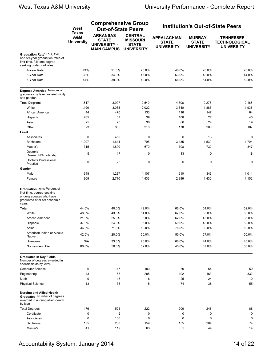|                                                                                                                                | West                                                | <b>Comprehensive Group</b><br><b>Out-of-State Peers</b>                      |                                                                        |                                                         |                                                    | <b>Institution's Out-of-State Peers</b>                       |
|--------------------------------------------------------------------------------------------------------------------------------|-----------------------------------------------------|------------------------------------------------------------------------------|------------------------------------------------------------------------|---------------------------------------------------------|----------------------------------------------------|---------------------------------------------------------------|
|                                                                                                                                | <b>Texas</b><br><b>A&amp;M</b><br><b>University</b> | <b>ARKANSAS</b><br><b>STATE</b><br><b>UNIVERSITY -</b><br><b>MAIN CAMPUS</b> | <b>CENTRAL</b><br><b>MISSOURI</b><br><b>STATE</b><br><b>UNIVERSITY</b> | <b>APPALACHIAN</b><br><b>STATE</b><br><b>UNIVERSITY</b> | <b>MURRAY</b><br><b>STATE</b><br><b>UNIVERSITY</b> | <b>TENNESSEE</b><br><b>TECHNOLOGICAL</b><br><b>UNIVERSITY</b> |
| Graduation Rate: Four, five,<br>and six-year graduation rates of<br>first-time, full-time degree<br>seeking undergraduates.    |                                                     |                                                                              |                                                                        |                                                         |                                                    |                                                               |
| 4-Year Rate                                                                                                                    | 24%                                                 | 21.0%                                                                        | 28.0%                                                                  | 40.0%                                                   | 28.0%                                              | 20.0%                                                         |
| 5-Year Rate                                                                                                                    | 38%                                                 | 34.0%                                                                        | 45.0%                                                                  | 63.0%                                                   | 48.0%                                              | 44.0%                                                         |
| 6-Year Rate                                                                                                                    | 44%                                                 | 39.0%                                                                        | 49.0%                                                                  | 66.0%                                                   | 54.0%                                              | 52.0%                                                         |
| Degrees Awarded: Number of<br>graduates by level, race/ethnicity<br>and gender.                                                |                                                     |                                                                              |                                                                        |                                                         |                                                    |                                                               |
| <b>Total Degrees</b>                                                                                                           | 1,617                                               | 3,997                                                                        | 2,540                                                                  | 4,306                                                   | 2,278                                              | 2,166                                                         |
| White                                                                                                                          | 1,190                                               | 3,085                                                                        | 2,022                                                                  | 3,840                                                   | 1,885                                              | 1,936                                                         |
| African American                                                                                                               | 44                                                  | 470                                                                          | 133                                                                    | 116                                                     | 147                                                | 64                                                            |
| Hispanic                                                                                                                       | 265                                                 | 67                                                                           | 39                                                                     | 106                                                     | 22                                                 | 40                                                            |
| Asian                                                                                                                          | 25                                                  | 20                                                                           | 36                                                                     | 66                                                      | 24                                                 | 19                                                            |
| Other                                                                                                                          | 93                                                  | 355                                                                          | 310                                                                    | 178                                                     | 200                                                | 107                                                           |
| Level                                                                                                                          |                                                     |                                                                              |                                                                        |                                                         |                                                    |                                                               |
| Associates                                                                                                                     | $\mathbf 0$                                         | 456                                                                          | $\mathbf 0$                                                            | $\mathbf 0$                                             | 13                                                 | $\mathbf 0$                                                   |
| <b>Bachelors</b>                                                                                                               | 1,297                                               | 1,641                                                                        | 1,796                                                                  | 3,435                                                   | 1,530                                              | 1,704                                                         |
| Master's                                                                                                                       | 315                                                 | 1,800                                                                        | 670                                                                    | 798                                                     | 732                                                | 347                                                           |
| Doctor's<br>Research/Scholarship                                                                                               | 5                                                   | 17                                                                           | 0                                                                      | 13                                                      | 0                                                  | 18                                                            |
| Doctor's Professional<br>Practice                                                                                              | 0                                                   | 23                                                                           | 0                                                                      | 0                                                       | $\mathbf 0$                                        | $\mathbf 0$                                                   |
| Gender                                                                                                                         |                                                     |                                                                              |                                                                        |                                                         |                                                    |                                                               |
| Male                                                                                                                           | 648                                                 | 1,287                                                                        | 1,107                                                                  | 1,910                                                   | 846                                                | 1,014                                                         |
| Female                                                                                                                         | 969                                                 | 2,710                                                                        | 1,433                                                                  | 2,396                                                   | 1,432                                              | 1,152                                                         |
| Graduation Rate: Percent of<br>first-time, degree-seeking<br>undergraduates who have<br>graduated after six academic<br>years. |                                                     |                                                                              |                                                                        |                                                         |                                                    |                                                               |
| <b>Total</b>                                                                                                                   | 44.0%                                               | 40.0%                                                                        | 49.0%                                                                  | 66.0%                                                   | 54.0%                                              | 52.0%                                                         |
| White                                                                                                                          | 48.0%                                               | 43.0%                                                                        | 54.0%                                                                  | 67.0%                                                   | 55.0%                                              | 53.0%                                                         |
| African American                                                                                                               | 21.0%                                               | 25.0%                                                                        | 33.0%                                                                  | 62.0%                                                   | 45.0%                                              | 35.0%                                                         |
| Hispanic                                                                                                                       | 37.0%                                               | 24.0%                                                                        | 35.0%                                                                  | 59.0%                                                   | 48.0%                                              | 52.0%                                                         |
| Asian                                                                                                                          | 36.0%                                               | 71.0%                                                                        | 50.0%                                                                  | 76.0%                                                   | 30.0%                                              | 60.0%                                                         |
| American Indian or Alaska<br><b>Native</b>                                                                                     | 42.0%                                               | 20.0%                                                                        | 50.0%                                                                  | 50.0%                                                   | 57.0%                                              | 50.0%                                                         |
| Unknown                                                                                                                        | N/A                                                 | 33.0%                                                                        | 20.0%                                                                  | 66.0%                                                   | 44.0%                                              | 40.0%                                                         |
| Nonresident Alien                                                                                                              | 86.0%                                               | 50.0%                                                                        | 52.0%                                                                  | 45.0%                                                   | 67.0%                                              | 50.0%                                                         |
| Graduates in Key Fields:<br>Number of degrees awarded in<br>specific fields by level.                                          |                                                     |                                                                              |                                                                        |                                                         |                                                    |                                                               |
| <b>Computer Science</b>                                                                                                        | 6                                                   | 47                                                                           | 100                                                                    | 30                                                      | 54                                                 | 50                                                            |
| Engineering                                                                                                                    | 43                                                  | 63                                                                           | 205                                                                    | 102                                                     | 163                                                | 332                                                           |
| Math                                                                                                                           | 9                                                   | 18                                                                           | 6                                                                      | 25                                                      | 24                                                 | 10                                                            |
| <b>Physical Science</b>                                                                                                        | 13                                                  | 38                                                                           | 15                                                                     | 74                                                      | 38                                                 | 55                                                            |
| <b>Nursing and Allied-Health</b><br>Graduates: Number of degrees<br>awarded in nursing/allied-health<br>by level.              |                                                     |                                                                              |                                                                        |                                                         |                                                    |                                                               |
| <b>Total Degrees</b>                                                                                                           | 176                                                 | 525                                                                          | 222                                                                    | 206                                                     | 248                                                | 88                                                            |
| Certificate                                                                                                                    | 0                                                   | $\overline{c}$                                                               | 0                                                                      | 0                                                       | $\mathbf 0$                                        | 0                                                             |
| Associates                                                                                                                     | 0                                                   | 150                                                                          | 0                                                                      | 0                                                       | 0                                                  | $\Omega$                                                      |
| <b>Bachelors</b>                                                                                                               | 135                                                 | 238                                                                          | 159                                                                    | 155                                                     | 204                                                | 74                                                            |
| Master's                                                                                                                       | 41                                                  | 112                                                                          | 63                                                                     | 51                                                      | 44                                                 | 14                                                            |
|                                                                                                                                |                                                     |                                                                              |                                                                        |                                                         |                                                    |                                                               |

## Accountability System, January 2014 14 of 22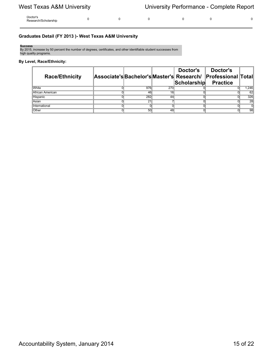| Doctor's<br>Research/Scholarship |  |  |  |  |  | $\sim$ |
|----------------------------------|--|--|--|--|--|--------|
|----------------------------------|--|--|--|--|--|--------|

### **Graduates Detail (FY 2013 )- West Texas A&M University**

#### **Success**

By 2015, increase by 50 percent the number of degrees, certificates, and other identifiable student successes from high quality programs.

#### **By Level, Race/Ethnicity:**

| <b>Race/Ethnicity</b> |     |     | Doctor's<br>Associate's Bachelor's Master's Research/<br>Scholarship | Doctor's<br><b>Professional Total</b><br><b>Practice</b> |       |
|-----------------------|-----|-----|----------------------------------------------------------------------|----------------------------------------------------------|-------|
| <b>White</b>          | 976 | 270 |                                                                      |                                                          | 1,246 |
| African American      | 46  | 16  |                                                                      |                                                          | 62    |
| Hispanic              | 282 | 44  |                                                                      |                                                          | 326   |
| Asian                 | 21  |     |                                                                      |                                                          | 28    |
| International         |     |     |                                                                      |                                                          |       |
| Other                 | 50  | 48  |                                                                      |                                                          | 98    |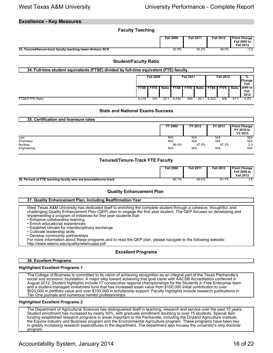#### **Excellence - Key Measures**

| <b>Faculty Teaching</b>                                      |                  |                  |                  |                                                                |
|--------------------------------------------------------------|------------------|------------------|------------------|----------------------------------------------------------------|
|                                                              | <b>Fall 2000</b> | <b>Fall 2011</b> | <b>Fall 2012</b> | <b>Point Change</b><br><b>Fall 2000 to</b><br><b>Fall 2012</b> |
| 33. Tenured/tenure-track faculty teaching lower-division SCH | 52.9%            | 50.2%            | 49.0%            | $-3.9$                                                         |

#### **Student/Faculty Ratio**

| 34. Full-time student equivalents (FTSE) divided by full-time equivalent (FTE) faculty. |                  |                      |                                      |        |               |      |                     |                             |     |                         |  |  |
|-----------------------------------------------------------------------------------------|------------------|----------------------|--------------------------------------|--------|---------------|------|---------------------|-----------------------------|-----|-------------------------|--|--|
|                                                                                         | <b>Fall 2000</b> |                      | <b>Fall 2011</b><br><b>Fall 2012</b> |        |               |      | %<br>Change<br>Fall |                             |     |                         |  |  |
|                                                                                         |                  | <b>FTSE I FTFE I</b> | <b>Ratio</b>                         | FTSE I | <b>FTFE</b> I |      |                     | Ratio I FTSE I FTFE I Ratio |     | 2000 to<br>Fall<br>2012 |  |  |
| <b>FTSE/FTFE Ratio</b>                                                                  | 5.218            | 241                  | 22:7                                 | 6.242  | 309           | 20:1 | 6,323               | 300                         | 21: | $-2.4%$                 |  |  |

#### **State and National Exams Success**

| 35. Certification and licensure rates |         |         |         |                                              |
|---------------------------------------|---------|---------|---------|----------------------------------------------|
|                                       | FY 2000 | FY 2012 | FY 2013 | <b>Point Change</b><br>FY 2010 to<br>FY 2013 |
| Law                                   | N/A     | N/A     | N/A     | N/A                                          |
| Pharmacy                              | N/A     | N/A     | N/A     | N/A                                          |
| Nursing                               | 96.4%   | 97.0%   | 97.3%   | 2.3                                          |
| Engineering                           | N/A     | N/A     | N/A     | N/A                                          |

#### **Tenured/Tenure-Track FTE Faculty**

|                                                                  | Fall 2000 | <b>Fall 2011</b> | <b>Fall 2012</b> | Point Change<br><b>Fall 2000 to</b><br>Fall 2012 |
|------------------------------------------------------------------|-----------|------------------|------------------|--------------------------------------------------|
| 36. Percent of FTE teaching faculty who are tenured/tenure-track | 60.1%     | 59.0%            | 70/              |                                                  |

#### **Quality Enhancement Plan**

#### **37. Quality Enhancement Plan, Including Reaffirmation Year**

West Texas A&M University has dedicated itself to enriching the complete student through a cohesive, thoughtful, and challenging Quality Enhancement Plan (QEP) plan to engage the first year student. The QEP focuses on developing and implementing a program of initiatives for first year students that:

- Enhance collaborative learning
- Enrich educational experiences
- Establish climate for interdisciplinary exchange
- Cultivate leadership skills
- Develop community partnerships

For more information about these programs and to read the QEP plan, please navigate to the following website:

http://www.wtamu.edu/quality/wtamuqep.pdf

#### **Excellent Programs**

#### **38. Excellent Programs**

#### **Highlighted Excellent Programs 1**

The College of Business is committed to its vision of achieving recognition as an integral part of the Texas Panhandle's social and economic foundation. A major step toward achieving that goal came with AACSB Accreditation conferred in August 2012. Student highlights include 17 consecutive regional championships for the Students in Free Enterprise team and a student-managed investment fund that has increased asset value from \$100,000 initial contribution to over \$620,000 in portfolio value and over \$100,000 in scholarship support. Faculty highlights include research publications in Tier One journals and numerous named professorships.

#### **Highlighted Excellent Programs 2**

The Department of Agricultural Sciences has distinguished itself in teaching, research and service over the past 15 years. Student enrollment has increased by nearly 50%, with graduate enrollment doubling to over 75 students. Special item funding established research programs in areas important to the Panhandle, including the Dryland Agriculture Institute, the Equine Industry and Business program and the Environmental Agriculture program. These programs have been key in greatly increasing research expenditures in the department. The department also houses the university's only doctoral program.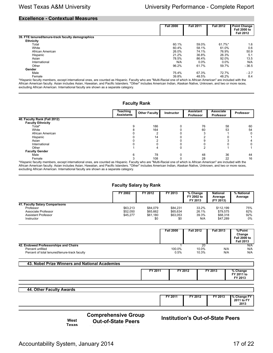#### **Excellence - Contextual Measures**

|                                                                                                                                                                      | <b>Fall 2000</b> | <b>Fall 2011</b> | <b>Fall 2012</b> | <b>Point Change</b> |  |
|----------------------------------------------------------------------------------------------------------------------------------------------------------------------|------------------|------------------|------------------|---------------------|--|
|                                                                                                                                                                      |                  |                  |                  |                     |  |
|                                                                                                                                                                      |                  |                  |                  | <b>Fall 2000 to</b> |  |
|                                                                                                                                                                      |                  |                  |                  | <b>Fall 2012</b>    |  |
| 39. FTE tenured/tenure-track faculty demographics                                                                                                                    |                  |                  |                  |                     |  |
| <b>Ethnicity</b>                                                                                                                                                     |                  |                  |                  |                     |  |
| Total                                                                                                                                                                | 60.1%            | 59.0%            | 61.7%*           | 1.6                 |  |
| White                                                                                                                                                                | 60.4%            | 58.1%            | 61.0%            | 0.6                 |  |
| African American                                                                                                                                                     | 26.0%            | 74.1%            | 76.9%            | 50.9                |  |
| Hispanic                                                                                                                                                             | 21.2%            | 36.8%            | 26.3%            | 5.1                 |  |
| Asian                                                                                                                                                                | 78.5%            | 86.4%            | 92.0%            | 13.5                |  |
| International                                                                                                                                                        | N/A              | $0.0\%$          | $0.0\%$          | N/A                 |  |
| Other                                                                                                                                                                | 96.2%            | 61.7%            | 59.7%            | $-36.5$             |  |
| Gender                                                                                                                                                               |                  |                  |                  |                     |  |
| Male                                                                                                                                                                 | 75.4%            | 67.3%            | 72.7%            | $-2.7$              |  |
| Female                                                                                                                                                               | 39.8%            | 48.5%            | 48.2%            | 8.4                 |  |
| *Hispanic faculty members, except international ones, are counted as Hispanic. Faculty who are "Multi-Racial one of which is African American" are included with the |                  |                  |                  |                     |  |

African American faculty. Asian includes Asian, Hawaiian, and Pacific Islanders. "Other" includes American Indian, Alaskan Native, Unknown, and two or more races, excluding African American. International faculty are shown as a separate category.

#### **Faculty Rank**

|                                                                                                                                                                      | Teaching<br><b>Assistants</b> | <b>Other Faculty</b> | <b>Instructor</b> | <b>Assistant</b><br>Professor | Associate<br><b>Professor</b> | <b>Professor</b> |
|----------------------------------------------------------------------------------------------------------------------------------------------------------------------|-------------------------------|----------------------|-------------------|-------------------------------|-------------------------------|------------------|
| 40. Faculty Rank (Fall 2012)                                                                                                                                         |                               |                      |                   |                               |                               |                  |
| <b>Faculty Ethnicity</b>                                                                                                                                             |                               |                      |                   |                               |                               |                  |
| Total*                                                                                                                                                               |                               | 186                  |                   | 76                            | 58                            | 60               |
| White                                                                                                                                                                |                               | 164                  |                   | 60                            | 53                            | 54               |
| African American                                                                                                                                                     |                               |                      |                   |                               |                               |                  |
| Hispanic                                                                                                                                                             |                               | 14                   |                   |                               |                               |                  |
| Asian                                                                                                                                                                |                               |                      |                   |                               |                               |                  |
| International                                                                                                                                                        |                               |                      |                   |                               |                               |                  |
| Other                                                                                                                                                                |                               |                      |                   |                               |                               |                  |
| <b>Faculty Gender</b>                                                                                                                                                |                               |                      |                   |                               |                               |                  |
| Male                                                                                                                                                                 |                               | 78                   |                   | 48                            | 36                            | 44               |
| Female                                                                                                                                                               |                               | 108                  |                   | 28                            | 22                            | 16               |
| *Hispanic faculty members, except international ones, are counted as Hispanic. Faculty who are "Multi-Racial one of which is African American" are included with the |                               |                      |                   |                               |                               |                  |

African American faculty. Asian includes Asian, Hawaiian, and Pacific Islanders. "Other" includes American Indian, Alaskan Native, Unknown, and two or more races, excluding African American. International faculty are shown as a separate category.

#### **Faculty Salary by Rank**

|                                | FY 2002  | FY 2012  | FY 2013  | % Change<br>FY 2002 to<br>FY 2013 | <b>National</b><br>Average<br>(FY 2013) | % National<br>Average |
|--------------------------------|----------|----------|----------|-----------------------------------|-----------------------------------------|-----------------------|
| 41. Faculty Salary Comparisons |          |          |          |                                   |                                         |                       |
| Professor                      | \$63,213 | \$84,079 | \$84,231 | 33.2%                             | \$112.199                               | 75%                   |
| Associate Professor            | \$52,050 | \$65.662 | \$65,634 | 26.1%                             | \$79.575                                | 82%                   |
| <b>Assistant Professor</b>     | \$45,277 | \$61.180 | \$63,053 | 39.3%                             | \$68,318                                | 92%                   |
| Instructor                     |          | \$0      | \$0      | N/A                               | \$47.289                                | 0%                    |

|                                               | <b>Fall 2000</b> | <b>Fall 2012</b> | <b>Fall 2013</b> | %/Point<br>Change<br><b>Fall 2000 to</b><br><b>Fall 2013</b> |
|-----------------------------------------------|------------------|------------------|------------------|--------------------------------------------------------------|
| 42. Endowed Professorships and Chairs         |                  | 20               |                  | N/A                                                          |
| Percent unfilled                              | 100.0%           | 10.0%            | N/A              | N/A                                                          |
| Percent of total tenured/tenure-track faculty | 0.5%             | 10.3%            | N/A              | N/A                                                          |

#### **43. Nobel Prize Winners and National Academies**

| FY 2011 | FY 2012 | FY 2013 | % Change   |
|---------|---------|---------|------------|
|         |         |         | FY 2011 to |
|         |         |         | FY 2013    |

|  |  | 44. Other Faculty Awards |  |
|--|--|--------------------------|--|
|  |  |                          |  |

|  | '2011 | FY 2012<br>$\overline{\phantom{a}}$ | $72013$ | . n /<br><b>EV</b><br>$\overline{\phantom{a}}$<br>EV<br>201<br>2013 |  |
|--|-------|-------------------------------------|---------|---------------------------------------------------------------------|--|
|--|-------|-------------------------------------|---------|---------------------------------------------------------------------|--|

**West**

**Comprehensive Group**

**Out-of-State Peers Institution's Out-of-State Peers**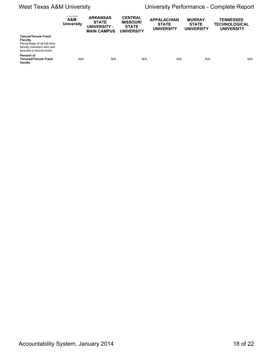|                                                                                                                             | $-$<br>A&M<br><b>University</b> | <b>ARKANSAS</b><br><b>STATE</b><br>UNIVERSITY -<br><b>MAIN CAMPUS</b> | <b>CENTRAL</b><br><b>MISSOURI</b><br><b>STATE</b><br><b>UNIVERSITY</b> | <b>APPALACHIAN</b><br><b>STATE</b><br><b>UNIVERSITY</b> | <b>MURRAY</b><br><b>STATE</b><br><b>UNIVERSITY</b> | <b>TENNESSEE</b><br><b>TECHNOLOGICAL</b><br><b>UNIVERSITY</b> |
|-----------------------------------------------------------------------------------------------------------------------------|---------------------------------|-----------------------------------------------------------------------|------------------------------------------------------------------------|---------------------------------------------------------|----------------------------------------------------|---------------------------------------------------------------|
| Tenure/Tenure-Track<br><b>Faculty</b><br>Percentage of all full-time<br>faculty members who are<br>tenured or tenure-track. |                                 |                                                                       |                                                                        |                                                         |                                                    |                                                               |
| Percent of<br>Tenured/Tenure-Track<br>faculty                                                                               | N/A                             | N/A                                                                   | N/A                                                                    | N/A                                                     | N/A                                                | N/A                                                           |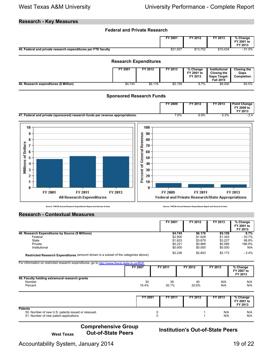### **Research - Key Measures**

#### **Federal and Private Research**

|                                                               | FY 2001  | $FY$ 2012 | FY 2013  | % Change<br>FY 2001 to<br>FY 2013 |
|---------------------------------------------------------------|----------|-----------|----------|-----------------------------------|
| 45. Federal and private research expenditures per FTE faculty | \$21,507 | \$13,702  | \$10,434 | 51.5%                             |

#### **Research Expenditures FY 2001 FY 2012 FY 2013 % Change FY 2001 to FY 2013 Institutional Closing the Gaps Target-Fall 2015**<br>\$8.000 **Closing the Gaps Completion 46. Research expenditures (\$ Million)** \$4.745 <sup>\*</sup> \$6.176 \$5.159 \$6.5% \$8.000 \$64.5% \$8.000 \$64.5%

#### **Sponsored Research Funds**

|                                                                                        | 2009 | FY 2012 | TY 2013 | ' Point Change<br>TY 2009 to<br>$Y$ 2013 |
|----------------------------------------------------------------------------------------|------|---------|---------|------------------------------------------|
| 47<br>) research funds per revenue appropriations.<br>deral and private<br>(sponsored) | 7.6% | 6.9%    | ວ.ວ″⁄o  | . .                                      |



**Source: THECB Annual Research Expenditures Report and Sources & Uses Source: THECB Annual Research Expenditures Report and Sources & Uses**

#### **Research - Contextual Measures**

|                                                                                     | FY 2001 | FY 2012 | FY 2013 | % Change<br>FY 2001 to<br>FY 2013 |
|-------------------------------------------------------------------------------------|---------|---------|---------|-----------------------------------|
| 48. Research Expenditures by Source (\$ Millions)                                   | \$4.745 | \$6.176 | \$5.159 | 8.7%                              |
| Federal                                                                             | \$2,900 | \$1.628 | \$1.343 | - 53.7%                           |
| State                                                                               | \$1.623 | \$3.679 | \$3.227 | 98.8%                             |
| Private                                                                             | \$0.221 | \$0.869 | \$0.589 | 166.9%                            |
| Institutional                                                                       | \$0.000 | \$0.000 | \$0.000 | N/A                               |
| Restricted Research Expenditures (amount shown is a subset of the categories above) | \$2.226 | \$2.843 | \$2.173 | $-2.4%$                           |

| For information on restricted research expenditures, go to http://www.thecb.state.tx.us/RDF |         |         |         |         |                                   |  |  |
|---------------------------------------------------------------------------------------------|---------|---------|---------|---------|-----------------------------------|--|--|
|                                                                                             | FY 2007 | FY 2011 | FY 2012 | FY 2013 | % Change<br>FY 2007 to<br>FY 2013 |  |  |
| 49. Faculty holding extramural research grants                                              |         |         |         |         |                                   |  |  |
| <b>Number</b>                                                                               | 30      | 39      | 40      | N/A     | N/A                               |  |  |
| Percent                                                                                     | 16.4%   | 20.1%   | 20.6%   | N/A     | N/A                               |  |  |

|                                                                                                               | FY 2001 | FY 2011 | FY 2012 | FY 2013    | % Change<br>FY 2001 to<br>FY 2013 |
|---------------------------------------------------------------------------------------------------------------|---------|---------|---------|------------|-----------------------------------|
| <b>Patents</b><br>50. Number of new U.S. patents issued or reissued.<br>51. Number of new patent applications |         |         |         | N/A<br>N/A | N/A<br>N/A                        |

# **Comprehensive Group**

### **Institution's Out-of-State Peers**

Accountability System, January 2014 19 of 22

**West Texas**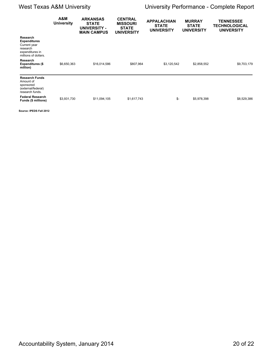|                                                                                                        | A&M<br><b>University</b> | <b>ARKANSAS</b><br><b>STATE</b><br><b>UNIVERSITY -</b><br><b>MAIN CAMPUS</b> | <b>CENTRAL</b><br><b>MISSOURI</b><br><b>STATE</b><br><b>UNIVERSITY</b> | <b>APPALACHIAN</b><br><b>STATE</b><br><b>UNIVERSITY</b> | <b>MURRAY</b><br><b>STATE</b><br><b>UNIVERSITY</b> | <b>TENNESSEE</b><br>TECHNOLOGICAL<br><b>UNIVERSITY</b> |
|--------------------------------------------------------------------------------------------------------|--------------------------|------------------------------------------------------------------------------|------------------------------------------------------------------------|---------------------------------------------------------|----------------------------------------------------|--------------------------------------------------------|
| Research<br><b>Expenditures</b><br>Current year<br>research<br>expenditures in<br>millions of dollars. |                          |                                                                              |                                                                        |                                                         |                                                    |                                                        |
| Research<br><b>Expenditures (\$</b><br>million)                                                        | \$6,650,363              | \$16,014,586                                                                 | \$807,964                                                              | \$3,120,542                                             | \$2,858,552                                        | \$9,703,179                                            |
| <b>Research Funds</b><br>Amount of<br>sponsored<br>(external/federal)<br>research funds.               |                          |                                                                              |                                                                        |                                                         |                                                    |                                                        |
| <b>Federal Research</b><br>Funds (\$ millions)                                                         | \$3,931,730              | \$11,094,105                                                                 | \$1,617,743                                                            | \$-                                                     | \$5,978,398                                        | \$8,529,386                                            |

**Source: IPEDS Fall 2012**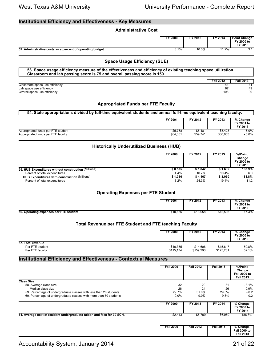### **Institutional Efficiency and Effectiveness - Key Measures**

| <b>Administrative Cost</b>                                |         |         |         |                                              |
|-----------------------------------------------------------|---------|---------|---------|----------------------------------------------|
|                                                           | FY 2000 | FY 2012 | FY 2013 | <b>Point Change</b><br>FY 2000 to<br>FY 2013 |
| 52. Administrative costs as a percent of operating budget | 8.1%    | 10.3%   | 11.2%   | $^{\circ}$ 1                                 |

#### **Space Usage Efficiency (SUE)**

| 53. Space usage efficiency measure of the effectiveness and efficiency of existing teaching space utilization.<br>Classroom and lab passing score is 75 and overall passing score is 150. |                  |                  |  |  |  |
|-------------------------------------------------------------------------------------------------------------------------------------------------------------------------------------------|------------------|------------------|--|--|--|
|                                                                                                                                                                                           | <b>Fall 2012</b> | <b>Fall 2013</b> |  |  |  |
| Classroom space use efficiency                                                                                                                                                            |                  |                  |  |  |  |
| Lab space use efficiency                                                                                                                                                                  | 67               | 49               |  |  |  |
| Overall space use efficiency                                                                                                                                                              | 108              | 90               |  |  |  |

#### **Appropriated Funds per FTE Faculty**

#### **54. State appropriations divided by full-time equivalent students and annual full-time equivalent teaching faculty.**

|                                    | FY 2001  | FY 2012  | FY 2013  | % Change<br>FY 2001 to<br>FY 2013 |
|------------------------------------|----------|----------|----------|-----------------------------------|
| Appropriated funds per FTE student | \$5.768  | \$5,481  | \$5.423  | $-6.0\%$                          |
| Appropriated funds per FTE faculty | \$64,081 | \$59,741 | \$60,853 | - 5.0%                            |

#### **Historically Underutilized Business (HUB)**

|                                                      | FY 2000 | FY 2012 | FY 2013 | %/Point<br>Change<br>FY 2000 to<br>FY 2013 |
|------------------------------------------------------|---------|---------|---------|--------------------------------------------|
| 55. HUB Expenditures without construction (Millions) | \$0.575 | \$1.842 | \$1.632 | 183.9%                                     |
| Percent of total expenditures                        | 4.4%    | 10.7%   | 10.4%   | 6.0                                        |
| <b>HUB Expenditures with construction (Millions)</b> | \$1.086 | \$4.167 | \$3.060 | 181.8%                                     |
| Percent of total expenditures                        | 8.2%    | 24.3%   | 19.4%   | 11.2                                       |

#### **Operating Expenses per FTE Student**

|                                        | FY 2001  | FY 2012  | FY 2013  | % Change<br>FY 2001 to<br>FY 2013 |
|----------------------------------------|----------|----------|----------|-----------------------------------|
| 56. Operating expenses per FTE student | \$10,665 | \$13,058 | \$12,506 | 17.3%                             |

#### **Total Revenue per FTE Student and FTE teaching Faculty**

|                                                         | FY 2000               | FY 2012               | FY 2013               | % Change<br>FY 2000 to<br>FY 2013 |
|---------------------------------------------------------|-----------------------|-----------------------|-----------------------|-----------------------------------|
| 57. Total revenue<br>Per FTE student<br>Per FTE faculty | \$10,355<br>\$115.174 | \$14,606<br>\$159,206 | \$15,617<br>\$175,231 | 50.8%<br>52.1%                    |

#### **Institutional Efficiency and Effectiveness - Contextual Measures**

|                                                                                                                                                                                                              | <b>Fall 2000</b>           | <b>Fall 2012</b>             | <b>Fall 2013</b>             | %/Point<br>Change<br>Fall 2000 to<br><b>Fall 2013</b> |
|--------------------------------------------------------------------------------------------------------------------------------------------------------------------------------------------------------------|----------------------------|------------------------------|------------------------------|-------------------------------------------------------|
| <b>Class Size</b><br>58. Average class size<br>Median class size<br>59. Percentage of undergraduate classes with less than 20 students<br>60. Percentage of undergraduate classes with more than 50 students | 32<br>26<br>29.7%<br>10.0% | 29<br>24<br>31.0%<br>$9.0\%$ | 31<br>26<br>29.5%<br>$9.8\%$ | $-3.1\%$<br>$0.0\%$<br>$-0.2$<br>$-0.2$               |
|                                                                                                                                                                                                              | <b>FY 2000</b>             | FY 2013                      | FY 2014                      | $%$ Change<br>FY 2000 to<br>FY 2014                   |
| 61. Average cost of resident undergraduate tuition and fees for 30 SCH.                                                                                                                                      | \$2,413                    | \$6,709                      | \$6,969                      | 188.8%                                                |

| <b>Fall 2012</b> | <b>Fall 2000</b><br>. |
|------------------|-----------------------|
|                  |                       |
|                  |                       |
|                  |                       |